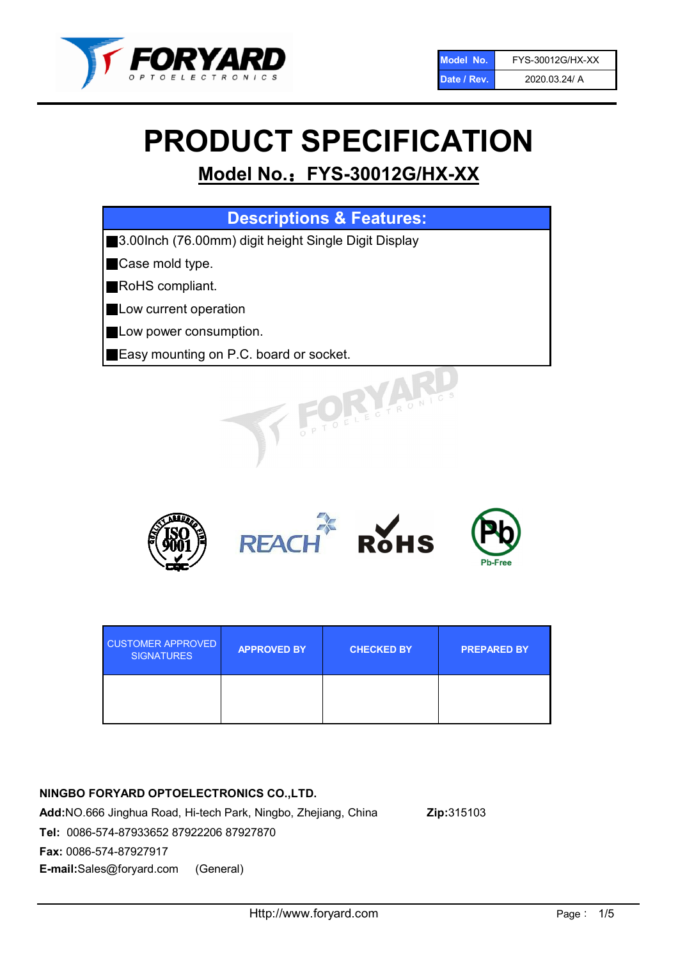

# PRODUCT SPECIFICATION

# Model No.: FYS-30012G/HX-XX

| <b>Descriptions &amp; Features:</b>                       |  |  |  |
|-----------------------------------------------------------|--|--|--|
| 3.00Inch (76.00mm) digit height Single Digit Display<br>I |  |  |  |
| <b>Case mold type.</b>                                    |  |  |  |
| RoHS compliant.                                           |  |  |  |
| <b>Low current operation</b>                              |  |  |  |
| Low power consumption.                                    |  |  |  |
| Easy mounting on P.C. board or socket.                    |  |  |  |
| TOELECTRONIC                                              |  |  |  |



| <b>CUSTOMER APPROVED</b><br><b>SIGNATURES</b> | <b>APPROVED BY</b> | <b>CHECKED BY</b> | <b>PREPARED BY</b> |
|-----------------------------------------------|--------------------|-------------------|--------------------|
|                                               |                    |                   |                    |

# NINGBO FORYARD OPTOELECTRONICS CO.,LTD.

Add:NO.666 Jinghua Road, Hi-tech Park, Ningbo, Zhejiang, China Zip:315103 Tel: 0086-574-87933652 87922206 87927870 Fax: 0086-574-87927917 E-mail:Sales@foryard.com (General)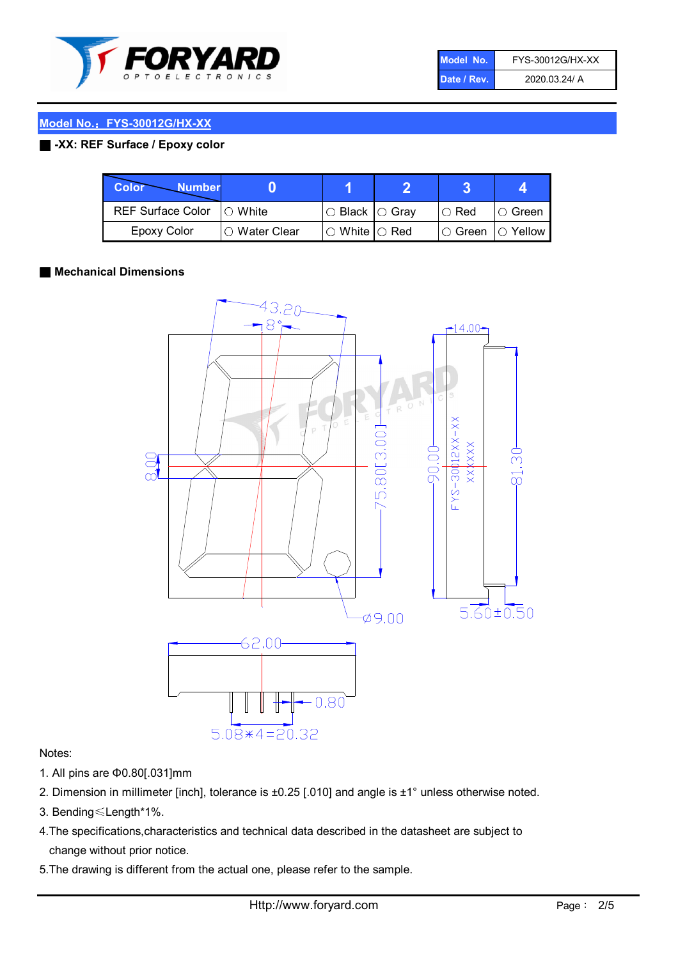

| Model No.'  | FYS-30012G/HX-XX |
|-------------|------------------|
| Date / Rev. | 2020.03.24/ A    |

### Model No.: FYS-30012G/HX-XX

## ■ -XX: REF Surface / Epoxy color

| Color<br><b>Number</b>      |                |                                                   |               |                |
|-----------------------------|----------------|---------------------------------------------------|---------------|----------------|
| REF Surface Color   O White |                | $\circ$ Black $\circ$ Gray                        | $\circ$ Red   | IO Green       |
| Epoxy Color                 | I⊖ Water Clear | $\mathbin{\varcap}$ White $\mathbin{\varcap}$ Red | $\circ$ Green | $\circ$ Yellow |

#### ■ Mechanical Dimensions



#### Notes:

- 1. All pins are Φ0.80[.031]mm
- 2. Dimension in millimeter [inch], tolerance is ±0.25 [.010] and angle is ±1° unless otherwise noted.
- 3. Bending≤Length\*1%.
- 4.The specifications,characteristics and technical data described in the datasheet are subject to change without prior notice.
- 5.The drawing is different from the actual one, please refer to the sample.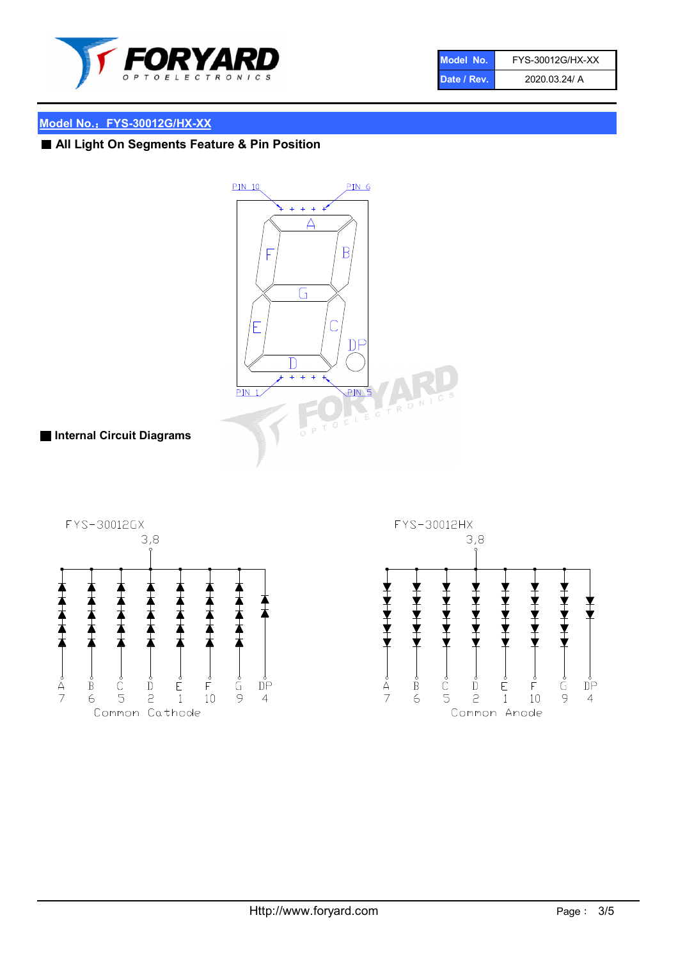

| Model No.'  | FYS-30012G/HX-XX |
|-------------|------------------|
| Date / Rev. | 2020.03.24/ A    |

# Model No.: FYS-30012G/HX-XX

# ■ All Light On Segments Feature & Pin Position



# ■ Internal Circuit Diagrams



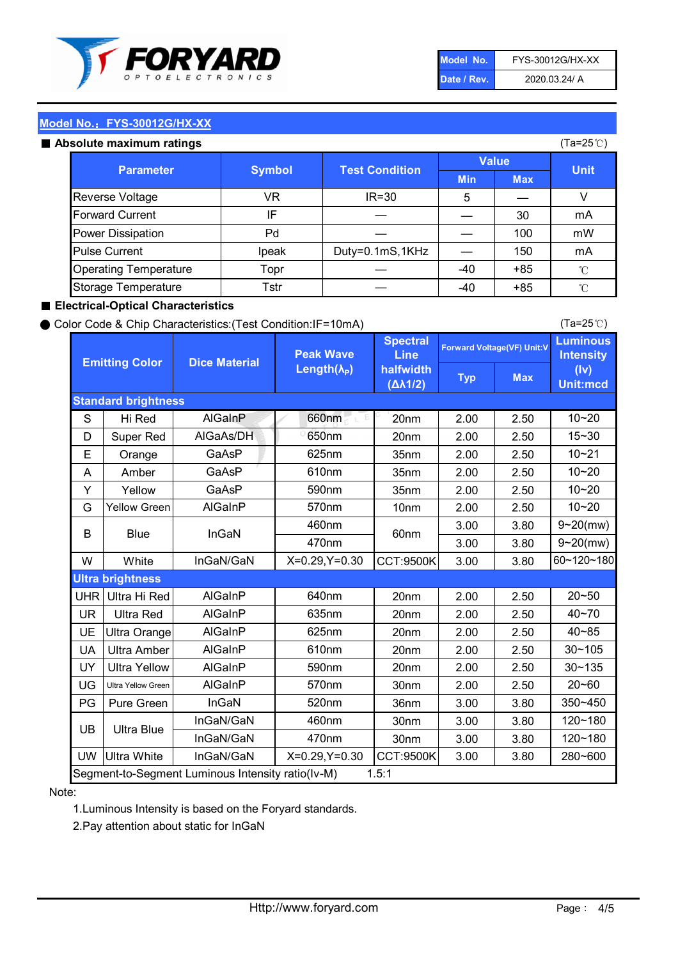

| Model No.   | FYS-30012G/HX-XX |
|-------------|------------------|
| Date / Rev. | 2020.03.24/ A    |

(Ta=25℃)

# Model No.: FYS-30012G/HX-XX

|  | Absolute maximum ratings |  |
|--|--------------------------|--|
|  |                          |  |

| <b>psolute maximum ratings</b> |                                                            |                 |            |            | (Ta=25℃)     |
|--------------------------------|------------------------------------------------------------|-----------------|------------|------------|--------------|
|                                | <b>Test Condition</b><br><b>Parameter</b><br><b>Symbol</b> | <b>Value</b>    |            |            |              |
|                                |                                                            |                 | <b>Min</b> | <b>Max</b> | <b>Unit</b>  |
| Reverse Voltage                | VR                                                         | $IR = 30$       | 5          |            | V            |
| <b>Forward Current</b>         | IF                                                         |                 |            | 30         | mA           |
| Power Dissipation              | Pd                                                         |                 |            | 100        | mW           |
| <b>Pulse Current</b>           | Ipeak                                                      | Duty=0.1mS,1KHz |            | 150        | mA           |
| <b>Operating Temperature</b>   | Topr                                                       |                 | $-40$      | $+85$      | $^{\circ}$ C |
| Storage Temperature            | Tstr                                                       |                 | -40        | $+85$      | $^{\circ}$ C |

#### ■ Electrical-Optical Characteristics

#### ● Color Code & Chip Characteristics:(Test Condition:IF=10mA)

Typ Max S | Hi $\textsf{Red}$  | AlGaInP | 660nm LE 20nm | 2.00 | 2.50 D | Super Red | AIGaAs/DH | 650nm | 20nm | 2.00 | 2.50 E | Orange | GaAsP | 625nm | 35nm | 2.00 | 2.50 A | Amber | GaAsP | 610nm | 35nm | 2.00 | 2.50 Y | Yellow | GaAsP | 590nm | 35nm | 2.00 | 2.50 G Yellow Green AIGaInP | 570nm | 10nm | 2.00 | 2.50 3.00 3.80 3.00 3.80 W | White | InGaN/GaN | X=0.29,Y=0.30 |CCT:9500K| 3.00 | 3.80 UHR Ultra Hi Red | AlGaInP | 640nm | 20nm | 2.00 | 2.50 UR | Ultra Red | AlGaInP | 635nm | 20nm | 2.00 | 2.50 UE Ultra Orange | AIGaInP | 625nm | 20nm | 2.00 | 2.50 UA Ultra Amber | AIGaInP | 610nm | 20nm | 2.00 | 2.50  $UV$  Ultra Yellow  $\vert$  AlGaInP  $\vert$  590nm  $\vert$  20nm  $\vert$  2.00  $\vert$  2.50  $\text{UG}$  Ultra Yellow Green | AIGaInP | 570nm | 30nm | 2.00 | 2.50 PG Pure Green | InGaN | 520nm | 36nm | 3.00 | 3.80 30nm 3.00 3.80 30nm 3.00 3.80 UW |Ultra White | InGaN/GaN | X=0.29,Y=0.30 |CCT:9500K| 3.00 | 3.80 10~20 Standard brightness Forward Voltage(VF) Unit:V 15~30 10~20 10~20 625nm GaAsP 590nm **Emitting Color Dice Material** 10~21 610nm Luminous **Intensity** (Iv) Unit:mcd AlGainP 660nm GaAsP GaAsP AlGaAs/DH **Spectral** Line halfwidth (∆λ1/2) Peak Wave Length $(\lambda_{\rm P})$ UB 460nm 635nm AlGaInP AlGaInP AlGaInP InGaN/GaN AlGaInP | 570nm | 10nm | 2.00 | 2.50 | 10~20 30~105 30~135 460nm 520nm Ultra brightness **AlGaInP** AlGaInP 60nm AlGaInP 640nm Segment-to-Segment Luminous Intensity ratio(Iv-M) 1.5:1 610nm 9~20(mw) 350~450 470nm 120~180 120~180 Ultra Blue InGaN/GaN InGaN/GaN 9~20(mw) 20~50 280~600 570nm | 30nm | 2.00 | 2.50 | 20~60 470nm 590nm InGaN/GaN B Blue I InGaN 40~85 60~120~180 40~70

#### Note:

1.Luminous Intensity is based on the Foryard standards.

2.Pay attention about static for InGaN